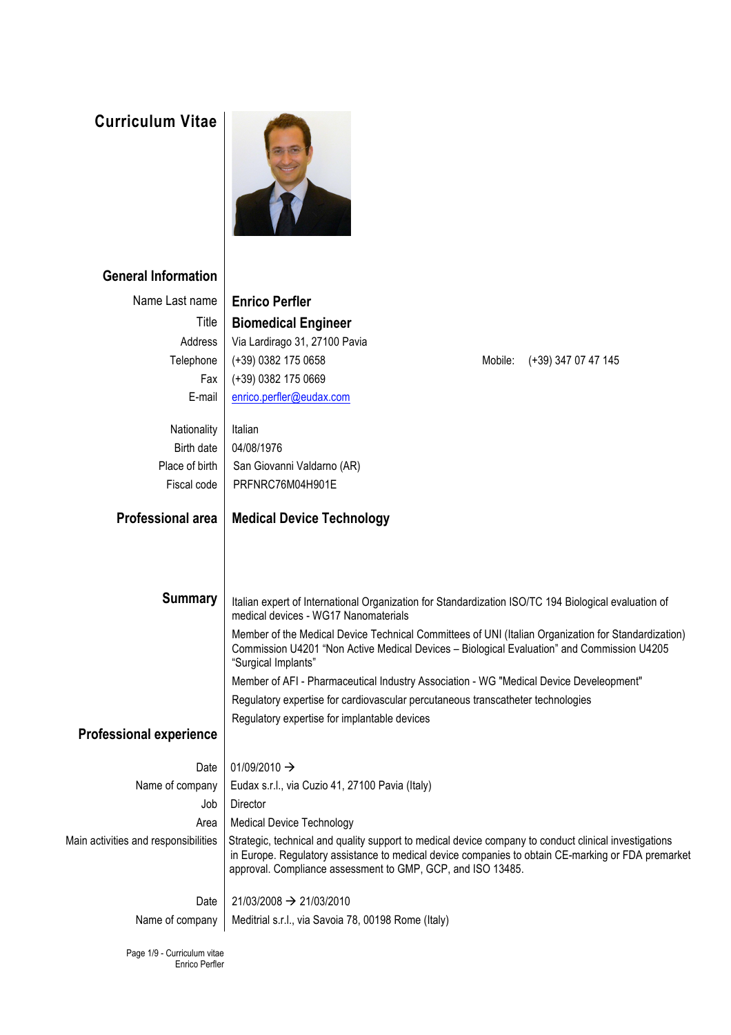## **Curriculum Vitae**



## **General Information**

Enrico Perfler

| Name Last name                       | <b>Enrico Perfler</b>                                                                                                                                                                                                    |
|--------------------------------------|--------------------------------------------------------------------------------------------------------------------------------------------------------------------------------------------------------------------------|
| Title                                | <b>Biomedical Engineer</b>                                                                                                                                                                                               |
| Address                              | Via Lardirago 31, 27100 Pavia                                                                                                                                                                                            |
| Telephone                            | (+39) 0382 175 0658<br>Mobile:<br>(+39) 347 07 47 145                                                                                                                                                                    |
| Fax                                  | $(+39)$ 0382 175 0669                                                                                                                                                                                                    |
| E-mail                               | enrico.perfler@eudax.com                                                                                                                                                                                                 |
| Nationality                          | Italian                                                                                                                                                                                                                  |
| <b>Birth date</b>                    | 04/08/1976                                                                                                                                                                                                               |
| Place of birth                       | San Giovanni Valdarno (AR)                                                                                                                                                                                               |
| Fiscal code                          | PRFNRC76M04H901E                                                                                                                                                                                                         |
|                                      |                                                                                                                                                                                                                          |
| <b>Professional area</b>             | <b>Medical Device Technology</b>                                                                                                                                                                                         |
|                                      |                                                                                                                                                                                                                          |
|                                      |                                                                                                                                                                                                                          |
|                                      |                                                                                                                                                                                                                          |
| <b>Summary</b>                       | Italian expert of International Organization for Standardization ISO/TC 194 Biological evaluation of<br>medical devices - WG17 Nanomaterials                                                                             |
|                                      | Member of the Medical Device Technical Committees of UNI (Italian Organization for Standardization)<br>Commission U4201 "Non Active Medical Devices - Biological Evaluation" and Commission U4205<br>"Surgical Implants" |
|                                      | Member of AFI - Pharmaceutical Industry Association - WG "Medical Device Develeopment"                                                                                                                                   |
|                                      | Regulatory expertise for cardiovascular percutaneous transcatheter technologies                                                                                                                                          |
|                                      | Regulatory expertise for implantable devices                                                                                                                                                                             |
| <b>Professional experience</b>       |                                                                                                                                                                                                                          |
| Date                                 | 01/09/2010 $\rightarrow$                                                                                                                                                                                                 |
| Name of company                      | Eudax s.r.l., via Cuzio 41, 27100 Pavia (Italy)                                                                                                                                                                          |
| Job                                  | Director                                                                                                                                                                                                                 |
| Area                                 | <b>Medical Device Technology</b>                                                                                                                                                                                         |
| Main activities and responsibilities | Strategic, technical and quality support to medical device company to conduct clinical investigations                                                                                                                    |
|                                      | in Europe. Regulatory assistance to medical device companies to obtain CE-marking or FDA premarket<br>approval. Compliance assessment to GMP, GCP, and ISO 13485.                                                        |
| Date                                 | 21/03/2008 -> 21/03/2010                                                                                                                                                                                                 |
| Name of company                      | Meditrial s.r.l., via Savoia 78, 00198 Rome (Italy)                                                                                                                                                                      |
| Page 1/9 - Curriculum vitae          |                                                                                                                                                                                                                          |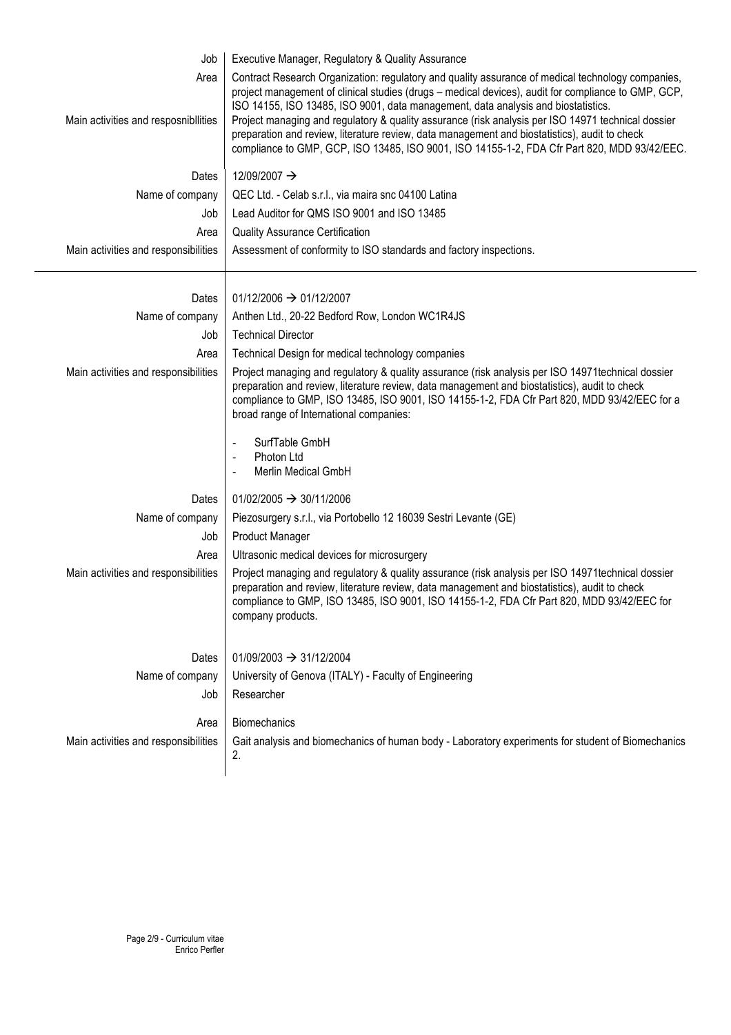| Job                                          | Executive Manager, Regulatory & Quality Assurance                                                                                                                                                                                                                                                                                                                                                                                                                                                                                                                                                    |  |
|----------------------------------------------|------------------------------------------------------------------------------------------------------------------------------------------------------------------------------------------------------------------------------------------------------------------------------------------------------------------------------------------------------------------------------------------------------------------------------------------------------------------------------------------------------------------------------------------------------------------------------------------------------|--|
| Area<br>Main activities and resposnibilities | Contract Research Organization: regulatory and quality assurance of medical technology companies,<br>project management of clinical studies (drugs - medical devices), audit for compliance to GMP, GCP,<br>ISO 14155, ISO 13485, ISO 9001, data management, data analysis and biostatistics.<br>Project managing and regulatory & quality assurance (risk analysis per ISO 14971 technical dossier<br>preparation and review, literature review, data management and biostatistics), audit to check<br>compliance to GMP, GCP, ISO 13485, ISO 9001, ISO 14155-1-2, FDA Cfr Part 820, MDD 93/42/EEC. |  |
| Dates                                        | 12/09/2007 →                                                                                                                                                                                                                                                                                                                                                                                                                                                                                                                                                                                         |  |
| Name of company                              | QEC Ltd. - Celab s.r.l., via maira snc 04100 Latina                                                                                                                                                                                                                                                                                                                                                                                                                                                                                                                                                  |  |
| Job                                          | Lead Auditor for QMS ISO 9001 and ISO 13485                                                                                                                                                                                                                                                                                                                                                                                                                                                                                                                                                          |  |
| Area                                         | <b>Quality Assurance Certification</b>                                                                                                                                                                                                                                                                                                                                                                                                                                                                                                                                                               |  |
| Main activities and responsibilities         | Assessment of conformity to ISO standards and factory inspections.                                                                                                                                                                                                                                                                                                                                                                                                                                                                                                                                   |  |
| Dates                                        | $01/12/2006 \rightarrow 01/12/2007$                                                                                                                                                                                                                                                                                                                                                                                                                                                                                                                                                                  |  |
| Name of company                              | Anthen Ltd., 20-22 Bedford Row, London WC1R4JS                                                                                                                                                                                                                                                                                                                                                                                                                                                                                                                                                       |  |
| Job                                          | <b>Technical Director</b>                                                                                                                                                                                                                                                                                                                                                                                                                                                                                                                                                                            |  |
| Area                                         | Technical Design for medical technology companies                                                                                                                                                                                                                                                                                                                                                                                                                                                                                                                                                    |  |
| Main activities and responsibilities         | Project managing and regulatory & quality assurance (risk analysis per ISO 14971 technical dossier<br>preparation and review, literature review, data management and biostatistics), audit to check<br>compliance to GMP, ISO 13485, ISO 9001, ISO 14155-1-2, FDA Cfr Part 820, MDD 93/42/EEC for a<br>broad range of International companies:                                                                                                                                                                                                                                                       |  |
|                                              | SurfTable GmbH<br>$\overline{\phantom{a}}$<br>Photon Ltd<br>$\overline{\phantom{a}}$<br><b>Merlin Medical GmbH</b>                                                                                                                                                                                                                                                                                                                                                                                                                                                                                   |  |
| Dates                                        | $01/02/2005 \rightarrow 30/11/2006$                                                                                                                                                                                                                                                                                                                                                                                                                                                                                                                                                                  |  |
| Name of company                              | Piezosurgery s.r.l., via Portobello 12 16039 Sestri Levante (GE)                                                                                                                                                                                                                                                                                                                                                                                                                                                                                                                                     |  |
| Job                                          | <b>Product Manager</b>                                                                                                                                                                                                                                                                                                                                                                                                                                                                                                                                                                               |  |
| Area                                         | Ultrasonic medical devices for microsurgery                                                                                                                                                                                                                                                                                                                                                                                                                                                                                                                                                          |  |
| Main activities and responsibilities         | Project managing and regulatory & quality assurance (risk analysis per ISO 14971 technical dossier<br>preparation and review, literature review, data management and biostatistics), audit to check<br>compliance to GMP, ISO 13485, ISO 9001, ISO 14155-1-2, FDA Cfr Part 820, MDD 93/42/EEC for<br>company products.                                                                                                                                                                                                                                                                               |  |
| Dates                                        | $01/09/2003 \rightarrow 31/12/2004$                                                                                                                                                                                                                                                                                                                                                                                                                                                                                                                                                                  |  |
| Name of company                              | University of Genova (ITALY) - Faculty of Engineering                                                                                                                                                                                                                                                                                                                                                                                                                                                                                                                                                |  |
| Job                                          | Researcher                                                                                                                                                                                                                                                                                                                                                                                                                                                                                                                                                                                           |  |
|                                              |                                                                                                                                                                                                                                                                                                                                                                                                                                                                                                                                                                                                      |  |
| Area                                         | <b>Biomechanics</b>                                                                                                                                                                                                                                                                                                                                                                                                                                                                                                                                                                                  |  |
| Main activities and responsibilities         | Gait analysis and biomechanics of human body - Laboratory experiments for student of Biomechanics<br>2.                                                                                                                                                                                                                                                                                                                                                                                                                                                                                              |  |
|                                              |                                                                                                                                                                                                                                                                                                                                                                                                                                                                                                                                                                                                      |  |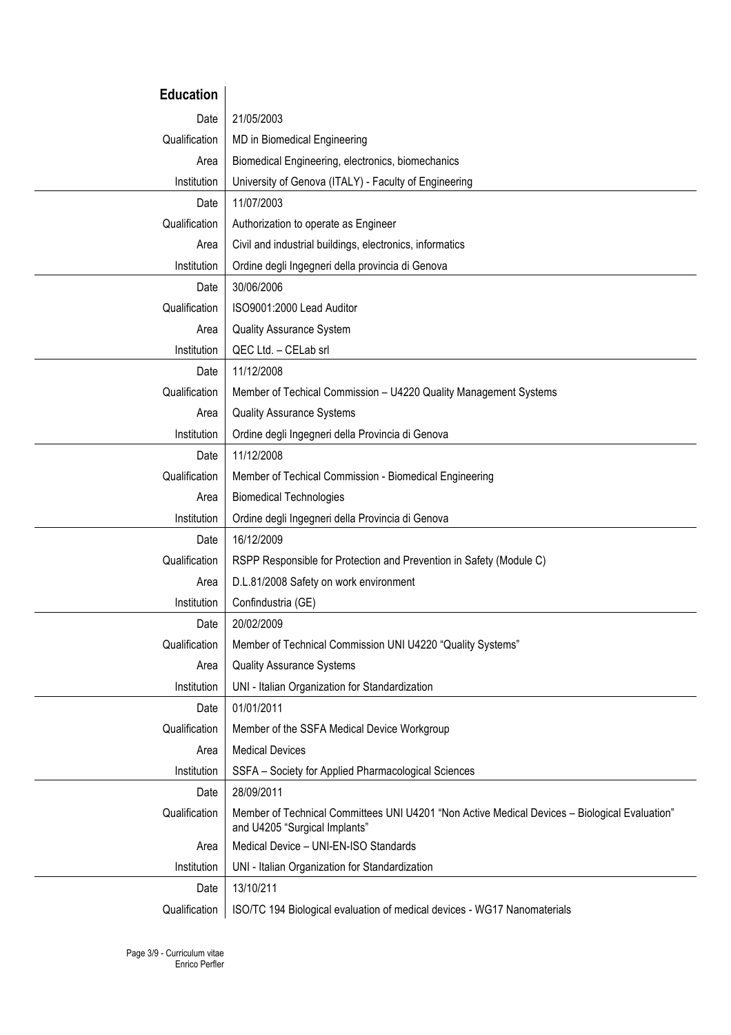| <b>Education</b> |                                                                                                                                |  |  |
|------------------|--------------------------------------------------------------------------------------------------------------------------------|--|--|
| Date             | 21/05/2003                                                                                                                     |  |  |
| Qualification    | MD in Biomedical Engineering                                                                                                   |  |  |
| Area             | Biomedical Engineering, electronics, biomechanics                                                                              |  |  |
| Institution      | University of Genova (ITALY) - Faculty of Engineering                                                                          |  |  |
| Date             | 11/07/2003                                                                                                                     |  |  |
| Qualification    | Authorization to operate as Engineer                                                                                           |  |  |
| Area             | Civil and industrial buildings, electronics, informatics                                                                       |  |  |
| Institution      | Ordine degli Ingegneri della provincia di Genova                                                                               |  |  |
| Date             | 30/06/2006                                                                                                                     |  |  |
| Qualification    | ISO9001:2000 Lead Auditor                                                                                                      |  |  |
| Area             | <b>Quality Assurance System</b>                                                                                                |  |  |
| Institution      | QEC Ltd. - CELab srl                                                                                                           |  |  |
| Date             | 11/12/2008                                                                                                                     |  |  |
| Qualification    | Member of Techical Commission - U4220 Quality Management Systems                                                               |  |  |
| Area             | <b>Quality Assurance Systems</b>                                                                                               |  |  |
| Institution      | Ordine degli Ingegneri della Provincia di Genova                                                                               |  |  |
| Date             | 11/12/2008                                                                                                                     |  |  |
| Qualification    | Member of Techical Commission - Biomedical Engineering                                                                         |  |  |
| Area             | <b>Biomedical Technologies</b>                                                                                                 |  |  |
| Institution      | Ordine degli Ingegneri della Provincia di Genova                                                                               |  |  |
| Date             | 16/12/2009                                                                                                                     |  |  |
| Qualification    | RSPP Responsible for Protection and Prevention in Safety (Module C)                                                            |  |  |
| Area             | D.L.81/2008 Safety on work environment                                                                                         |  |  |
| Institution      | Confindustria (GE)                                                                                                             |  |  |
| Date             | 20/02/2009                                                                                                                     |  |  |
| Qualification    | Member of Technical Commission UNI U4220 "Quality Systems"                                                                     |  |  |
| Area             | <b>Quality Assurance Systems</b>                                                                                               |  |  |
| Institution      | UNI - Italian Organization for Standardization                                                                                 |  |  |
| Date             | 01/01/2011                                                                                                                     |  |  |
| Qualification    | Member of the SSFA Medical Device Workgroup                                                                                    |  |  |
| Area             | <b>Medical Devices</b>                                                                                                         |  |  |
| Institution      | SSFA - Society for Applied Pharmacological Sciences                                                                            |  |  |
| Date             | 28/09/2011                                                                                                                     |  |  |
| Qualification    | Member of Technical Committees UNI U4201 "Non Active Medical Devices - Biological Evaluation"<br>and U4205 "Surgical Implants" |  |  |
| Area             | Medical Device - UNI-EN-ISO Standards                                                                                          |  |  |
| Institution      | UNI - Italian Organization for Standardization                                                                                 |  |  |
| Date             | 13/10/211                                                                                                                      |  |  |
| Qualification    | ISO/TC 194 Biological evaluation of medical devices - WG17 Nanomaterials                                                       |  |  |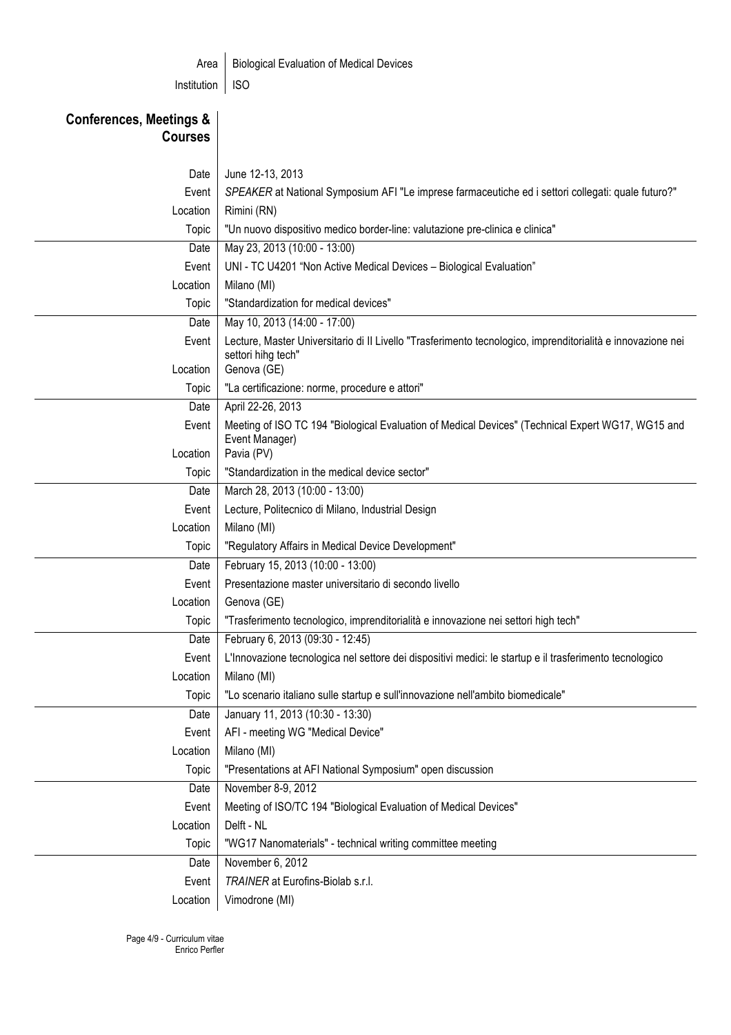| <b>Biological Evaluation of Medical Devices</b><br>Area                   |                                                                                                                                   |  |  |
|---------------------------------------------------------------------------|-----------------------------------------------------------------------------------------------------------------------------------|--|--|
| Institution                                                               | <b>ISO</b>                                                                                                                        |  |  |
|                                                                           |                                                                                                                                   |  |  |
| <b>Conferences, Meetings &amp;</b>                                        |                                                                                                                                   |  |  |
| <b>Courses</b>                                                            |                                                                                                                                   |  |  |
|                                                                           |                                                                                                                                   |  |  |
| Date                                                                      | June 12-13, 2013                                                                                                                  |  |  |
| Event                                                                     | SPEAKER at National Symposium AFI "Le imprese farmaceutiche ed i settori collegati: quale futuro?"                                |  |  |
| Location                                                                  | Rimini (RN)                                                                                                                       |  |  |
| Topic                                                                     | "Un nuovo dispositivo medico border-line: valutazione pre-clinica e clinica"                                                      |  |  |
| Date                                                                      | May 23, 2013 (10:00 - 13:00)                                                                                                      |  |  |
| Event                                                                     | UNI - TC U4201 "Non Active Medical Devices - Biological Evaluation"                                                               |  |  |
| Location                                                                  | Milano (MI)                                                                                                                       |  |  |
| Topic                                                                     | "Standardization for medical devices"                                                                                             |  |  |
| Date                                                                      | May 10, 2013 (14:00 - 17:00)                                                                                                      |  |  |
| Event                                                                     | Lecture, Master Universitario di Il Livello "Trasferimento tecnologico, imprenditorialità e innovazione nei<br>settori hihg tech" |  |  |
| Location                                                                  | Genova (GE)                                                                                                                       |  |  |
| Topic                                                                     | "La certificazione: norme, procedure e attori"                                                                                    |  |  |
| Date                                                                      | April 22-26, 2013                                                                                                                 |  |  |
| Event                                                                     | Meeting of ISO TC 194 "Biological Evaluation of Medical Devices" (Technical Expert WG17, WG15 and                                 |  |  |
|                                                                           | Event Manager)<br>Pavia (PV)<br>Location                                                                                          |  |  |
| Topic                                                                     | "Standardization in the medical device sector"                                                                                    |  |  |
| Date                                                                      | March 28, 2013 (10:00 - 13:00)                                                                                                    |  |  |
| Event                                                                     | Lecture, Politecnico di Milano, Industrial Design                                                                                 |  |  |
| Location                                                                  | Milano (MI)                                                                                                                       |  |  |
| Topic                                                                     | "Regulatory Affairs in Medical Device Development"                                                                                |  |  |
| Date                                                                      | February 15, 2013 (10:00 - 13:00)                                                                                                 |  |  |
| Event                                                                     | Presentazione master universitario di secondo livello                                                                             |  |  |
| Location                                                                  | Genova (GE)                                                                                                                       |  |  |
| Topic                                                                     | "Trasferimento tecnologico, imprenditorialità e innovazione nei settori high tech"                                                |  |  |
| February 6, 2013 (09:30 - 12:45)<br>Date                                  |                                                                                                                                   |  |  |
| Event                                                                     | L'Innovazione tecnologica nel settore dei dispositivi medici: le startup e il trasferimento tecnologico                           |  |  |
| Location                                                                  | Milano (MI)                                                                                                                       |  |  |
| Topic                                                                     | "Lo scenario italiano sulle startup e sull'innovazione nell'ambito biomedicale"                                                   |  |  |
| Date                                                                      | January 11, 2013 (10:30 - 13:30)                                                                                                  |  |  |
| Event                                                                     | AFI - meeting WG "Medical Device"                                                                                                 |  |  |
| Location                                                                  | Milano (MI)                                                                                                                       |  |  |
| Topic                                                                     | "Presentations at AFI National Symposium" open discussion                                                                         |  |  |
| Date                                                                      | November 8-9, 2012                                                                                                                |  |  |
| Meeting of ISO/TC 194 "Biological Evaluation of Medical Devices"<br>Event |                                                                                                                                   |  |  |
| Location<br>Delft - NL                                                    |                                                                                                                                   |  |  |
| Topic                                                                     | "WG17 Nanomaterials" - technical writing committee meeting                                                                        |  |  |
| Date                                                                      | November 6, 2012                                                                                                                  |  |  |
| Event                                                                     | TRAINER at Eurofins-Biolab s.r.l.                                                                                                 |  |  |
| Location                                                                  | Vimodrone (MI)                                                                                                                    |  |  |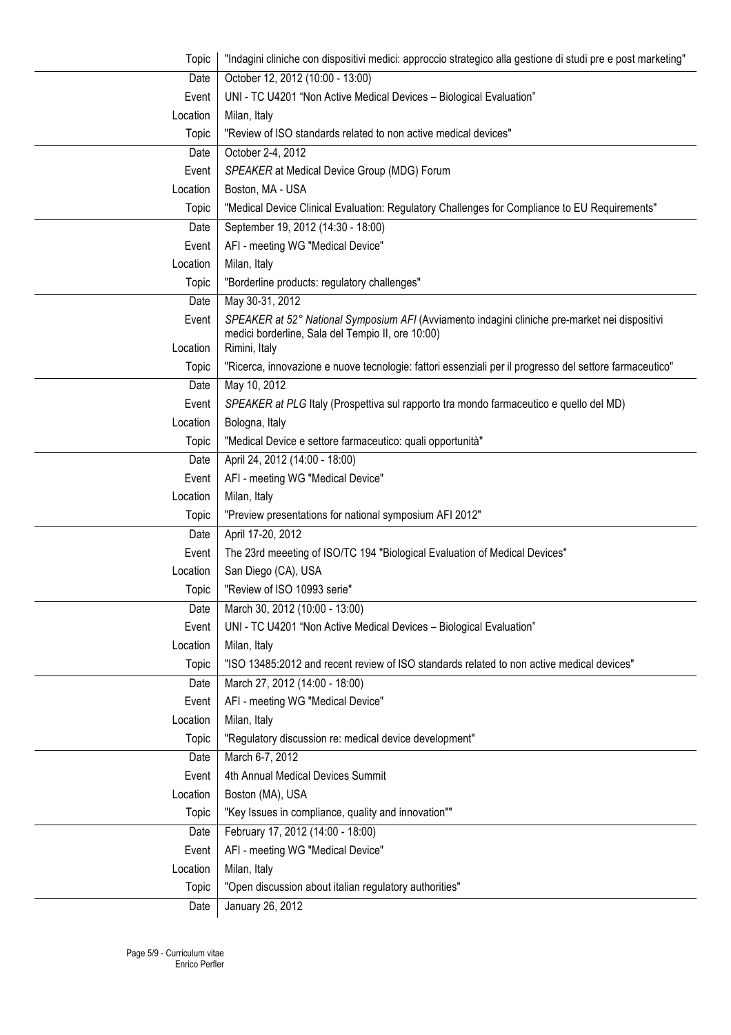| Topic    | "Indagini cliniche con dispositivi medici: approccio strategico alla gestione di studi pre e post marketing" |  |  |
|----------|--------------------------------------------------------------------------------------------------------------|--|--|
| Date     | October 12, 2012 (10:00 - 13:00)                                                                             |  |  |
| Event    | UNI - TC U4201 "Non Active Medical Devices - Biological Evaluation"                                          |  |  |
| Location | Milan, Italy                                                                                                 |  |  |
| Topic    | "Review of ISO standards related to non active medical devices"                                              |  |  |
| Date     | October 2-4, 2012                                                                                            |  |  |
| Event    | SPEAKER at Medical Device Group (MDG) Forum                                                                  |  |  |
| Location | Boston, MA - USA                                                                                             |  |  |
| Topic    | "Medical Device Clinical Evaluation: Regulatory Challenges for Compliance to EU Requirements"                |  |  |
| Date     | September 19, 2012 (14:30 - 18:00)                                                                           |  |  |
| Event    | AFI - meeting WG "Medical Device"                                                                            |  |  |
| Location | Milan, Italy                                                                                                 |  |  |
| Topic    | "Borderline products: regulatory challenges"                                                                 |  |  |
| Date     | May 30-31, 2012                                                                                              |  |  |
| Event    | SPEAKER at 52° National Symposium AFI (Avviamento indagini cliniche pre-market nei dispositivi               |  |  |
|          | medici borderline, Sala del Tempio II, ore 10:00)                                                            |  |  |
| Location | Rimini, Italy                                                                                                |  |  |
| Topic    | "Ricerca, innovazione e nuove tecnologie: fattori essenziali per il progresso del settore farmaceutico"      |  |  |
| Date     | May 10, 2012                                                                                                 |  |  |
| Event    | SPEAKER at PLG Italy (Prospettiva sul rapporto tra mondo farmaceutico e quello del MD)                       |  |  |
| Location | Bologna, Italy                                                                                               |  |  |
| Topic    | "Medical Device e settore farmaceutico: quali opportunità"                                                   |  |  |
| Date     | April 24, 2012 (14:00 - 18:00)                                                                               |  |  |
| Event    | AFI - meeting WG "Medical Device"                                                                            |  |  |
| Location | Milan, Italy                                                                                                 |  |  |
| Topic    | "Preview presentations for national symposium AFI 2012"                                                      |  |  |
| Date     | April 17-20, 2012                                                                                            |  |  |
| Event    | The 23rd meeeting of ISO/TC 194 "Biological Evaluation of Medical Devices"                                   |  |  |
| Location | San Diego (CA), USA                                                                                          |  |  |
| Topic    | "Review of ISO 10993 serie"                                                                                  |  |  |
| Date     | March 30, 2012 (10:00 - 13:00)                                                                               |  |  |
| Event    | UNI - TC U4201 "Non Active Medical Devices - Biological Evaluation"                                          |  |  |
| Location | Milan, Italy                                                                                                 |  |  |
| Topic    | "ISO 13485:2012 and recent review of ISO standards related to non active medical devices"                    |  |  |
| Date     | March 27, 2012 (14:00 - 18:00)                                                                               |  |  |
| Event    | AFI - meeting WG "Medical Device"                                                                            |  |  |
| Location | Milan, Italy                                                                                                 |  |  |
| Topic    | "Regulatory discussion re: medical device development"                                                       |  |  |
| Date     | March 6-7, 2012                                                                                              |  |  |
| Event    | 4th Annual Medical Devices Summit                                                                            |  |  |
| Location | Boston (MA), USA                                                                                             |  |  |
| Topic    | "Key Issues in compliance, quality and innovation""                                                          |  |  |
| Date     | February 17, 2012 (14:00 - 18:00)                                                                            |  |  |
| Event    | AFI - meeting WG "Medical Device"                                                                            |  |  |
| Location | Milan, Italy                                                                                                 |  |  |
| Topic    | "Open discussion about italian regulatory authorities"                                                       |  |  |
| Date     | January 26, 2012                                                                                             |  |  |
|          |                                                                                                              |  |  |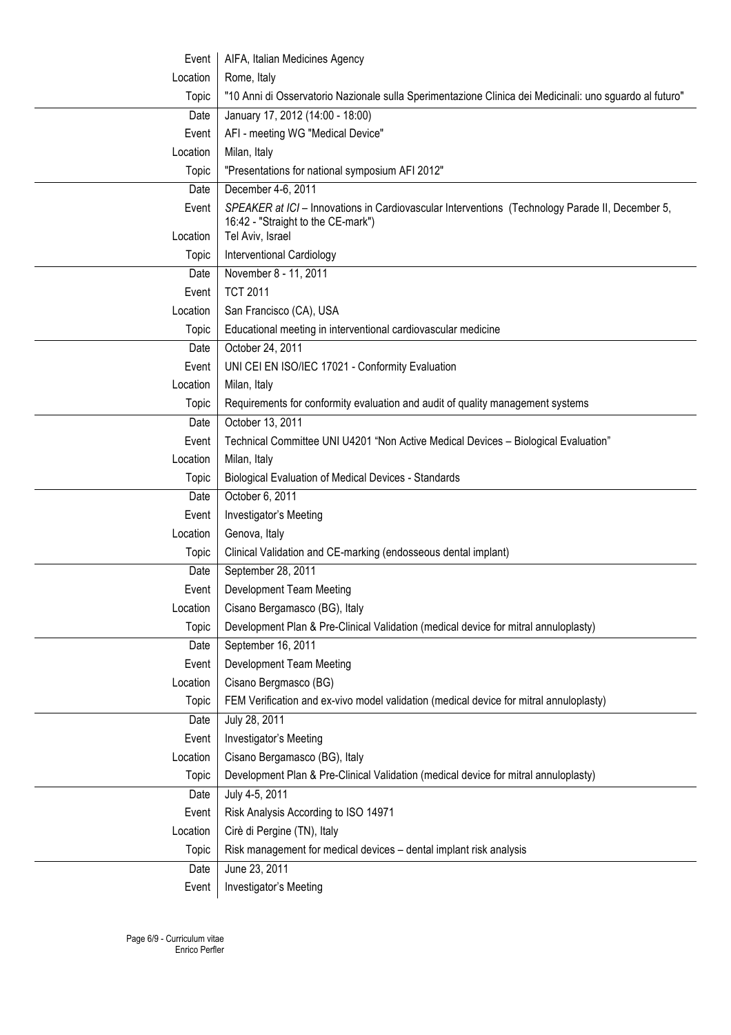| Event    | AIFA, Italian Medicines Agency                                                                          |  |
|----------|---------------------------------------------------------------------------------------------------------|--|
| Location | Rome, Italy                                                                                             |  |
| Topic    | "10 Anni di Osservatorio Nazionale sulla Sperimentazione Clinica dei Medicinali: uno sguardo al futuro" |  |
| Date     | January 17, 2012 (14:00 - 18:00)                                                                        |  |
| Event    | AFI - meeting WG "Medical Device"                                                                       |  |
| Location | Milan, Italy                                                                                            |  |
| Topic    | "Presentations for national symposium AFI 2012"                                                         |  |
| Date     | December 4-6, 2011                                                                                      |  |
| Event    | SPEAKER at ICI - Innovations in Cardiovascular Interventions (Technology Parade II, December 5,         |  |
|          | 16:42 - "Straight to the CE-mark")                                                                      |  |
| Location | Tel Aviv, Israel                                                                                        |  |
| Topic    | Interventional Cardiology                                                                               |  |
| Date     | November 8 - 11, 2011                                                                                   |  |
| Event    | <b>TCT 2011</b>                                                                                         |  |
| Location | San Francisco (CA), USA                                                                                 |  |
| Topic    | Educational meeting in interventional cardiovascular medicine                                           |  |
| Date     | October 24, 2011                                                                                        |  |
| Event    | UNI CEI EN ISO/IEC 17021 - Conformity Evaluation                                                        |  |
| Location | Milan, Italy                                                                                            |  |
| Topic    | Requirements for conformity evaluation and audit of quality management systems                          |  |
| Date     | October 13, 2011                                                                                        |  |
| Event    | Technical Committee UNI U4201 "Non Active Medical Devices - Biological Evaluation"                      |  |
| Location | Milan, Italy                                                                                            |  |
| Topic    | <b>Biological Evaluation of Medical Devices - Standards</b>                                             |  |
| Date     | October 6, 2011                                                                                         |  |
| Event    | Investigator's Meeting                                                                                  |  |
| Location | Genova, Italy                                                                                           |  |
| Topic    | Clinical Validation and CE-marking (endosseous dental implant)                                          |  |
| Date     | September 28, 2011                                                                                      |  |
| Event    | Development Team Meeting                                                                                |  |
| Location | Cisano Bergamasco (BG), Italy                                                                           |  |
| Topic    | Development Plan & Pre-Clinical Validation (medical device for mitral annuloplasty)                     |  |
| Date     | September 16, 2011                                                                                      |  |
| Event    | <b>Development Team Meeting</b>                                                                         |  |
| Location | Cisano Bergmasco (BG)                                                                                   |  |
| Topic    | FEM Verification and ex-vivo model validation (medical device for mitral annuloplasty)                  |  |
| Date     | July 28, 2011                                                                                           |  |
| Event    | Investigator's Meeting                                                                                  |  |
| Location | Cisano Bergamasco (BG), Italy                                                                           |  |
| Topic    | Development Plan & Pre-Clinical Validation (medical device for mitral annuloplasty)                     |  |
| Date     | July 4-5, 2011                                                                                          |  |
| Event    | Risk Analysis According to ISO 14971                                                                    |  |
| Location | Cirè di Pergine (TN), Italy                                                                             |  |
| Topic    | Risk management for medical devices - dental implant risk analysis                                      |  |
| Date     | June 23, 2011                                                                                           |  |
| Event    | Investigator's Meeting                                                                                  |  |
|          |                                                                                                         |  |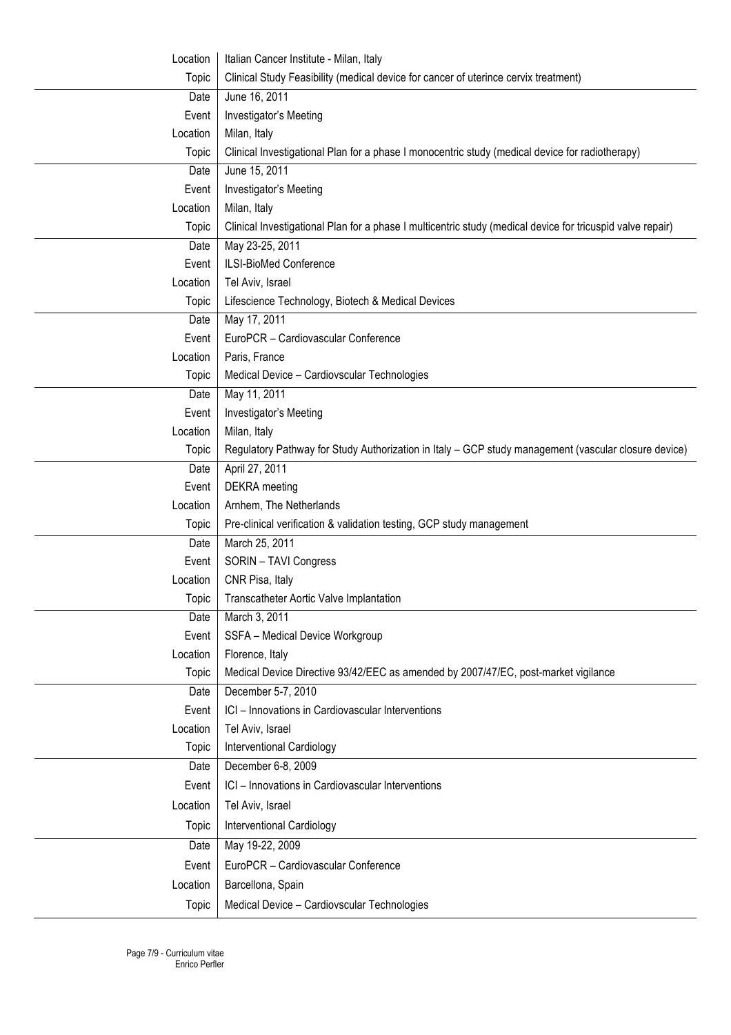| Location | Italian Cancer Institute - Milan, Italy                                                                    |  |  |
|----------|------------------------------------------------------------------------------------------------------------|--|--|
| Topic    | Clinical Study Feasibility (medical device for cancer of uterince cervix treatment)                        |  |  |
| Date     | June 16, 2011                                                                                              |  |  |
| Event    | Investigator's Meeting                                                                                     |  |  |
| Location | Milan, Italy                                                                                               |  |  |
| Topic    | Clinical Investigational Plan for a phase I monocentric study (medical device for radiotherapy)            |  |  |
| Date     | June 15, 2011                                                                                              |  |  |
| Event    | Investigator's Meeting                                                                                     |  |  |
| Location | Milan, Italy                                                                                               |  |  |
| Topic    | Clinical Investigational Plan for a phase I multicentric study (medical device for tricuspid valve repair) |  |  |
| Date     | May 23-25, 2011                                                                                            |  |  |
| Event    | ILSI-BioMed Conference                                                                                     |  |  |
| Location | Tel Aviv, Israel                                                                                           |  |  |
| Topic    | Lifescience Technology, Biotech & Medical Devices                                                          |  |  |
| Date     | May 17, 2011                                                                                               |  |  |
| Event    | EuroPCR - Cardiovascular Conference                                                                        |  |  |
| Location | Paris, France                                                                                              |  |  |
| Topic    | Medical Device - Cardiovscular Technologies                                                                |  |  |
| Date     | May 11, 2011                                                                                               |  |  |
| Event    | Investigator's Meeting                                                                                     |  |  |
| Location | Milan, Italy                                                                                               |  |  |
| Topic    | Regulatory Pathway for Study Authorization in Italy - GCP study management (vascular closure device)       |  |  |
| Date     | April 27, 2011                                                                                             |  |  |
| Event    | <b>DEKRA</b> meeting                                                                                       |  |  |
| Location | Arnhem, The Netherlands                                                                                    |  |  |
| Topic    | Pre-clinical verification & validation testing, GCP study management                                       |  |  |
| Date     | March 25, 2011                                                                                             |  |  |
| Event    | SORIN - TAVI Congress                                                                                      |  |  |
| Location | CNR Pisa, Italy                                                                                            |  |  |
| Topic    | <b>Transcatheter Aortic Valve Implantation</b>                                                             |  |  |
| Date     | March 3, 2011                                                                                              |  |  |
| Event    | SSFA - Medical Device Workgroup                                                                            |  |  |
| Location | Florence, Italy                                                                                            |  |  |
| Topic    | Medical Device Directive 93/42/EEC as amended by 2007/47/EC, post-market vigilance                         |  |  |
| Date     | December 5-7, 2010                                                                                         |  |  |
| Event    | ICI - Innovations in Cardiovascular Interventions                                                          |  |  |
| Location | Tel Aviv, Israel                                                                                           |  |  |
| Topic    | <b>Interventional Cardiology</b>                                                                           |  |  |
| Date     | December 6-8, 2009                                                                                         |  |  |
| Event    | ICI - Innovations in Cardiovascular Interventions                                                          |  |  |
| Location | Tel Aviv, Israel                                                                                           |  |  |
| Topic    | Interventional Cardiology                                                                                  |  |  |
| Date     | May 19-22, 2009                                                                                            |  |  |
| Event    | EuroPCR - Cardiovascular Conference                                                                        |  |  |
| Location | Barcellona, Spain                                                                                          |  |  |
| Topic    | Medical Device - Cardiovscular Technologies                                                                |  |  |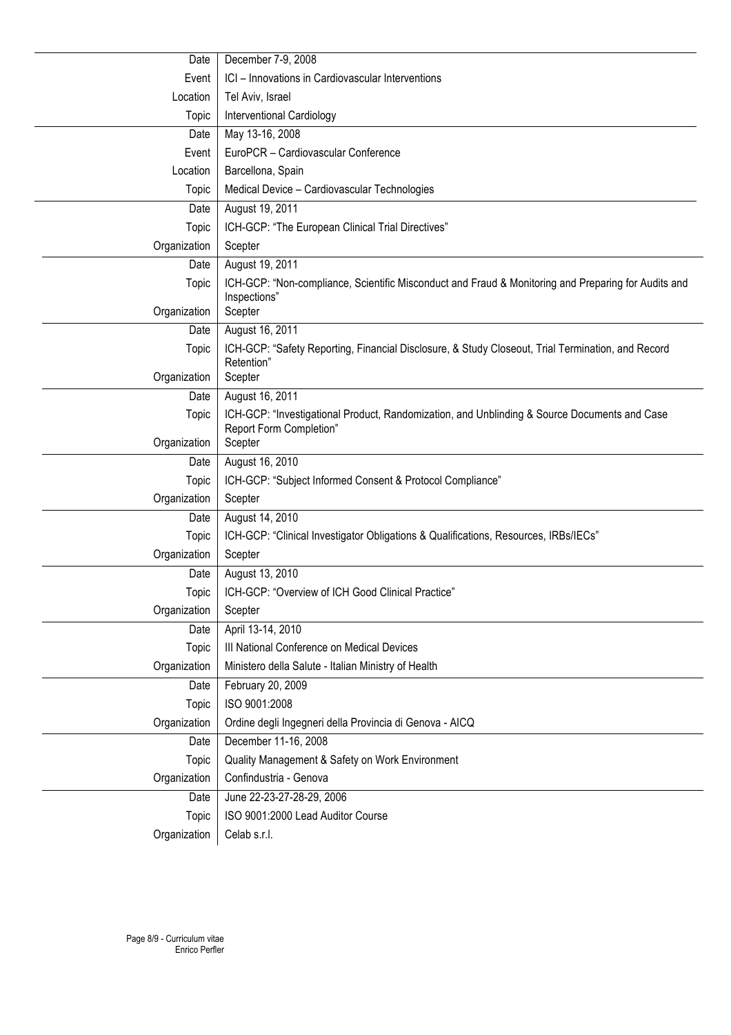| Date                 | December 7-9, 2008                                                                                              |  |
|----------------------|-----------------------------------------------------------------------------------------------------------------|--|
| Event                | ICI - Innovations in Cardiovascular Interventions                                                               |  |
| Location             | Tel Aviv, Israel                                                                                                |  |
| Topic                | Interventional Cardiology                                                                                       |  |
| Date                 | May 13-16, 2008                                                                                                 |  |
| Event                | EuroPCR - Cardiovascular Conference                                                                             |  |
| Location             | Barcellona, Spain                                                                                               |  |
| Topic                | Medical Device - Cardiovascular Technologies                                                                    |  |
| Date                 | August 19, 2011                                                                                                 |  |
| Topic                | ICH-GCP: "The European Clinical Trial Directives"                                                               |  |
| Organization         | Scepter                                                                                                         |  |
| Date                 | August 19, 2011                                                                                                 |  |
| Topic                | ICH-GCP: "Non-compliance, Scientific Misconduct and Fraud & Monitoring and Preparing for Audits and             |  |
|                      | Inspections"                                                                                                    |  |
| Organization         | Scepter                                                                                                         |  |
| Date                 | August 16, 2011                                                                                                 |  |
| Topic                | ICH-GCP: "Safety Reporting, Financial Disclosure, & Study Closeout, Trial Termination, and Record<br>Retention" |  |
| Organization         | Scepter                                                                                                         |  |
| Date                 | August 16, 2011                                                                                                 |  |
| Topic                | ICH-GCP: "Investigational Product, Randomization, and Unblinding & Source Documents and Case                    |  |
|                      | Report Form Completion"                                                                                         |  |
| Organization<br>Date | Scepter<br>August 16, 2010                                                                                      |  |
| Topic                | ICH-GCP: "Subject Informed Consent & Protocol Compliance"                                                       |  |
| Organization         | Scepter                                                                                                         |  |
| Date                 | August 14, 2010                                                                                                 |  |
| Topic                | ICH-GCP: "Clinical Investigator Obligations & Qualifications, Resources, IRBs/IECs"                             |  |
| Organization         | Scepter                                                                                                         |  |
| Date                 | August 13, 2010                                                                                                 |  |
| Topic                | ICH-GCP: "Overview of ICH Good Clinical Practice"                                                               |  |
| Organization         | Scepter                                                                                                         |  |
| Date                 | April 13-14, 2010                                                                                               |  |
| Topic                | III National Conference on Medical Devices                                                                      |  |
| Organization         | Ministero della Salute - Italian Ministry of Health                                                             |  |
| Date                 | February 20, 2009                                                                                               |  |
| Topic                | ISO 9001:2008                                                                                                   |  |
| Organization         | Ordine degli Ingegneri della Provincia di Genova - AICQ                                                         |  |
| Date                 | December 11-16, 2008                                                                                            |  |
| Topic                | Quality Management & Safety on Work Environment                                                                 |  |
| Organization         | Confindustria - Genova                                                                                          |  |
| Date                 | June 22-23-27-28-29, 2006                                                                                       |  |
| Topic                | ISO 9001:2000 Lead Auditor Course                                                                               |  |
| Organization         | Celab s.r.l.                                                                                                    |  |
|                      |                                                                                                                 |  |